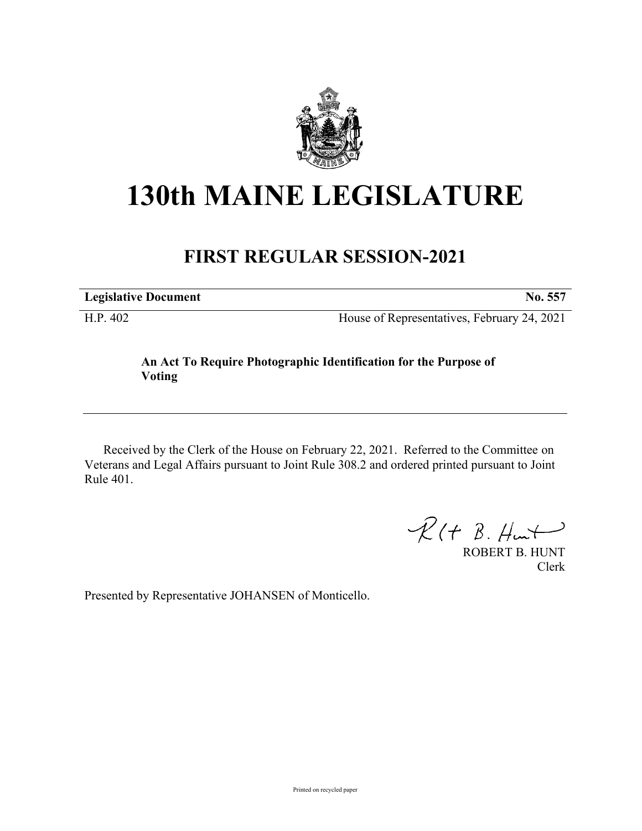

## **130th MAINE LEGISLATURE**

## **FIRST REGULAR SESSION-2021**

**Legislative Document No. 557**

H.P. 402 House of Representatives, February 24, 2021

## **An Act To Require Photographic Identification for the Purpose of Voting**

Received by the Clerk of the House on February 22, 2021. Referred to the Committee on Veterans and Legal Affairs pursuant to Joint Rule 308.2 and ordered printed pursuant to Joint Rule 401.

 $R(H B. H<sub>un</sub>)$ 

ROBERT B. HUNT Clerk

Presented by Representative JOHANSEN of Monticello.